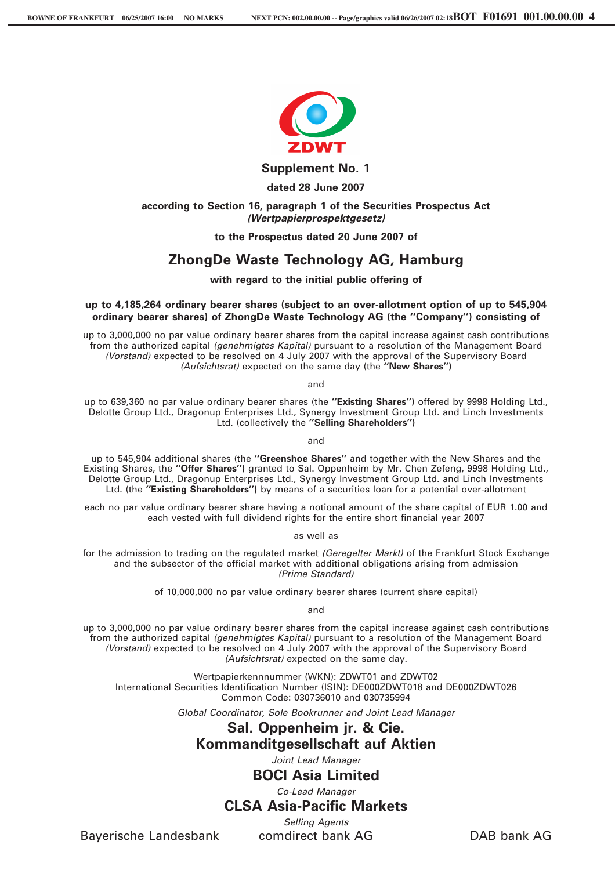

**Supplement No. 1**

**dated 28 June 2007**

#### **according to Section 16, paragraph 1 of the Securities Prospectus Act** *(Wertpapierprospektgesetz)*

**to the Prospectus dated 20 June 2007 of**

# **ZhongDe Waste Technology AG, Hamburg**

#### **with regard to the initial public offering of**

#### **up to 4,185,264 ordinary bearer shares (subject to an over-allotment option of up to 545,904 ordinary bearer shares) of ZhongDe Waste Technology AG (the ''Company'') consisting of**

up to 3,000,000 no par value ordinary bearer shares from the capital increase against cash contributions from the authorized capital *(genehmigtes Kapital)* pursuant to a resolution of the Management Board *(Vorstand)* expected to be resolved on 4 July 2007 with the approval of the Supervisory Board *(Aufsichtsrat)* expected on the same day (the **''New Shares'')**

and

up to 639,360 no par value ordinary bearer shares (the **''Existing Shares'')** offered by 9998 Holding Ltd., Delotte Group Ltd., Dragonup Enterprises Ltd., Synergy Investment Group Ltd. and Linch Investments Ltd. (collectively the **''Selling Shareholders'')**

and

up to 545,904 additional shares (the **''Greenshoe Shares''** and together with the New Shares and the Existing Shares, the **''Offer Shares'')** granted to Sal. Oppenheim by Mr. Chen Zefeng, 9998 Holding Ltd., Delotte Group Ltd., Dragonup Enterprises Ltd., Synergy Investment Group Ltd. and Linch Investments Ltd. (the **''Existing Shareholders'')** by means of a securities loan for a potential over-allotment

each no par value ordinary bearer share having a notional amount of the share capital of EUR 1.00 and each vested with full dividend rights for the entire short financial year 2007

as well as

for the admission to trading on the regulated market *(Geregelter Markt)* of the Frankfurt Stock Exchange and the subsector of the official market with additional obligations arising from admission *(Prime Standard)*

of 10,000,000 no par value ordinary bearer shares (current share capital)

and

up to 3,000,000 no par value ordinary bearer shares from the capital increase against cash contributions from the authorized capital *(genehmigtes Kapital)* pursuant to a resolution of the Management Board *(Vorstand)* expected to be resolved on 4 July 2007 with the approval of the Supervisory Board *(Aufsichtsrat)* expected on the same day.

Wertpapierkennnummer (WKN): ZDWT01 and ZDWT02 International Securities Identification Number (ISIN): DE000ZDWT018 and DE000ZDWT026 Common Code: 030736010 and 030735994

*Global Coordinator, Sole Bookrunner and Joint Lead Manager*

# **Sal. Oppenheim jr. & Cie. Kommanditgesellschaft auf Aktien**

*Joint Lead Manager*

**BOCI Asia Limited**

### *Co-Lead Manager* **CLSA Asia-Pacific Markets**

*Selling Agents*

Bayerische Landesbank comdirect bank AG DAB bank AG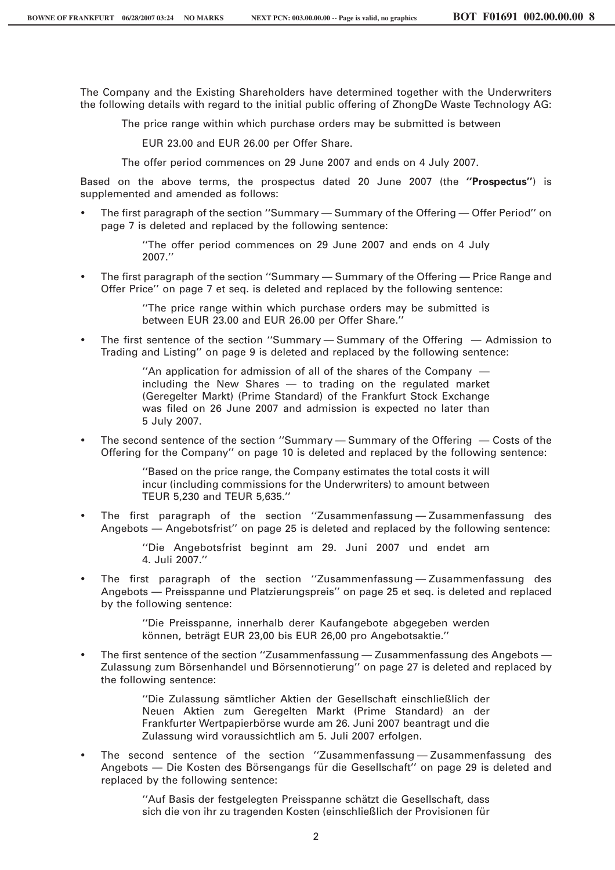The Company and the Existing Shareholders have determined together with the Underwriters the following details with regard to the initial public offering of ZhongDe Waste Technology AG:

The price range within which purchase orders may be submitted is between

EUR 23.00 and EUR 26.00 per Offer Share.

The offer period commences on 29 June 2007 and ends on 4 July 2007.

Based on the above terms, the prospectus dated 20 June 2007 (the **''Prospectus''**) is supplemented and amended as follows:

) The first paragraph of the section ''Summary — Summary of the Offering — Offer Period'' on page 7 is deleted and replaced by the following sentence:

> ''The offer period commences on 29 June 2007 and ends on 4 July 2007.''

) The first paragraph of the section ''Summary — Summary of the Offering — Price Range and Offer Price'' on page 7 et seq. is deleted and replaced by the following sentence:

> ''The price range within which purchase orders may be submitted is between EUR 23.00 and EUR 26.00 per Offer Share.''

) The first sentence of the section ''Summary — Summary of the Offering — Admission to Trading and Listing'' on page 9 is deleted and replaced by the following sentence:

> ''An application for admission of all of the shares of the Company including the New Shares — to trading on the regulated market (Geregelter Markt) (Prime Standard) of the Frankfurt Stock Exchange was filed on 26 June 2007 and admission is expected no later than 5 July 2007.

) The second sentence of the section ''Summary — Summary of the Offering — Costs of the Offering for the Company'' on page 10 is deleted and replaced by the following sentence:

> ''Based on the price range, the Company estimates the total costs it will incur (including commissions for the Underwriters) to amount between TEUR 5,230 and TEUR 5,635.''

) The first paragraph of the section ''Zusammenfassung — Zusammenfassung des Angebots — Angebotsfrist'' on page 25 is deleted and replaced by the following sentence:

> ''Die Angebotsfrist beginnt am 29. Juni 2007 und endet am 4. Juli 2007.''

) The first paragraph of the section ''Zusammenfassung — Zusammenfassung des Angebots — Preisspanne und Platzierungspreis'' on page 25 et seq. is deleted and replaced by the following sentence:

> ''Die Preisspanne, innerhalb derer Kaufangebote abgegeben werden können, beträgt EUR 23,00 bis EUR 26,00 pro Angebotsaktie."

) The first sentence of the section ''Zusammenfassung — Zusammenfassung des Angebots — Zulassung zum Börsenhandel und Börsennotierung" on page 27 is deleted and replaced by the following sentence:

> "Die Zulassung sämtlicher Aktien der Gesellschaft einschließlich der Neuen Aktien zum Geregelten Markt (Prime Standard) an der Frankfurter Wertpapierbörse wurde am 26. Juni 2007 beantragt und die Zulassung wird voraussichtlich am 5. Juli 2007 erfolgen.

) The second sentence of the section ''Zusammenfassung — Zusammenfassung des Angebots — Die Kosten des Börsengangs für die Gesellschaft" on page 29 is deleted and replaced by the following sentence:

> "Auf Basis der festgelegten Preisspanne schätzt die Gesellschaft, dass sich die von ihr zu tragenden Kosten (einschließlich der Provisionen für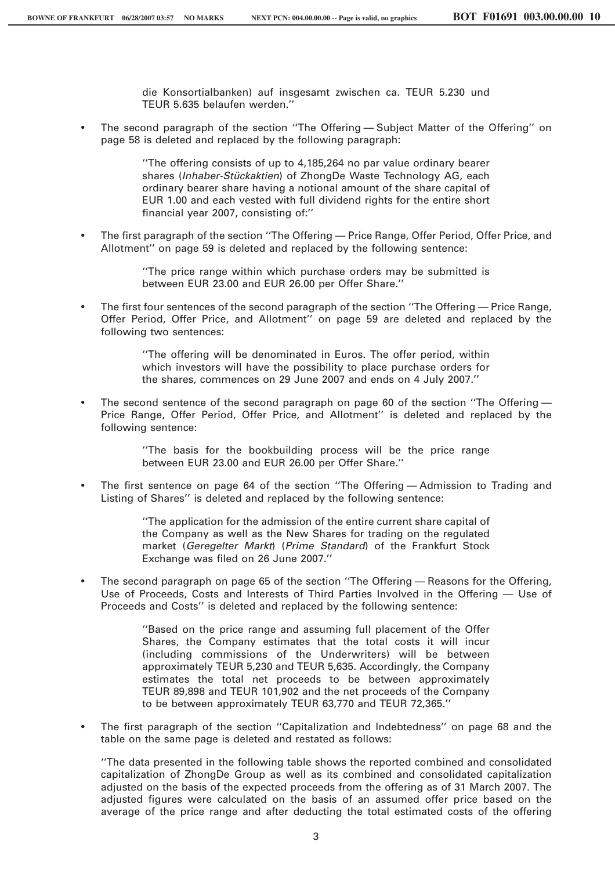die Konsortialbanken) auf insgesamt zwischen ca. TEUR 5.230 und TEUR 5.635 belaufen werden.''

) The second paragraph of the section ''The Offering — Subject Matter of the Offering'' on page 58 is deleted and replaced by the following paragraph:

> ''The offering consists of up to 4,185,264 no par value ordinary bearer shares (*Inhaber-Stückaktien*) of ZhongDe Waste Technology AG, each ordinary bearer share having a notional amount of the share capital of EUR 1.00 and each vested with full dividend rights for the entire short financial year 2007, consisting of:''

) The first paragraph of the section ''The Offering — Price Range, Offer Period, Offer Price, and Allotment'' on page 59 is deleted and replaced by the following sentence:

> ''The price range within which purchase orders may be submitted is between EUR 23.00 and EUR 26.00 per Offer Share.''

) The first four sentences of the second paragraph of the section ''The Offering — Price Range, Offer Period, Offer Price, and Allotment'' on page 59 are deleted and replaced by the following two sentences:

> ''The offering will be denominated in Euros. The offer period, within which investors will have the possibility to place purchase orders for the shares, commences on 29 June 2007 and ends on 4 July 2007.''

) The second sentence of the second paragraph on page 60 of the section ''The Offering — Price Range, Offer Period, Offer Price, and Allotment'' is deleted and replaced by the following sentence:

> ''The basis for the bookbuilding process will be the price range between EUR 23.00 and EUR 26.00 per Offer Share.''

) The first sentence on page 64 of the section ''The Offering — Admission to Trading and Listing of Shares'' is deleted and replaced by the following sentence:

> ''The application for the admission of the entire current share capital of the Company as well as the New Shares for trading on the regulated market (*Geregelter Markt*) (*Prime Standard*) of the Frankfurt Stock Exchange was filed on 26 June 2007.''

) The second paragraph on page 65 of the section ''The Offering — Reasons for the Offering, Use of Proceeds, Costs and Interests of Third Parties Involved in the Offering — Use of Proceeds and Costs'' is deleted and replaced by the following sentence:

> ''Based on the price range and assuming full placement of the Offer Shares, the Company estimates that the total costs it will incur (including commissions of the Underwriters) will be between approximately TEUR 5,230 and TEUR 5,635. Accordingly, the Company estimates the total net proceeds to be between approximately TEUR 89,898 and TEUR 101,902 and the net proceeds of the Company to be between approximately TEUR 63,770 and TEUR 72,365.''

) The first paragraph of the section ''Capitalization and Indebtedness'' on page 68 and the table on the same page is deleted and restated as follows:

''The data presented in the following table shows the reported combined and consolidated capitalization of ZhongDe Group as well as its combined and consolidated capitalization adjusted on the basis of the expected proceeds from the offering as of 31 March 2007. The adjusted figures were calculated on the basis of an assumed offer price based on the average of the price range and after deducting the total estimated costs of the offering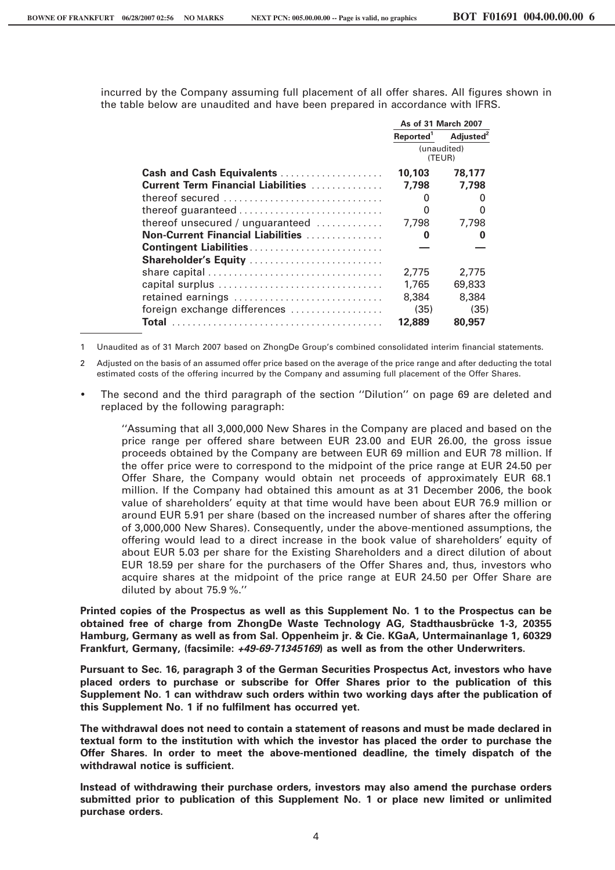incurred by the Company assuming full placement of all offer shares. All figures shown in the table below are unaudited and have been prepared in accordance with IFRS.

|                                                         | As of 31 March 2007   |                       |
|---------------------------------------------------------|-----------------------|-----------------------|
|                                                         | Reported <sup>1</sup> | Adjusted <sup>2</sup> |
|                                                         | (unaudited)           |                       |
|                                                         | (TEUR)                |                       |
| Cash and Cash Equivalents                               | 10,103                | 78,177                |
| <b>Current Term Financial Liabilities</b>               | 7.798                 | 7.798                 |
| thereof secured                                         | 0                     | $\mathbf{0}$          |
|                                                         | 0                     | O                     |
| thereof unsecured / unguaranteed $\dots\dots\dots\dots$ | 7,798                 | 7,798                 |
| Non-Current Financial Liabilities                       | 0                     | 0                     |
| Contingent Liabilities                                  |                       |                       |
| Shareholder's Equity                                    |                       |                       |
|                                                         | 2.775                 | 2.775                 |
| capital surplus                                         | 1,765                 | 69,833                |
| retained earnings                                       | 8,384                 | 8,384                 |
| foreign exchange differences                            | (35)                  | (35)                  |
|                                                         | 12,889                | 80,957                |

1 Unaudited as of 31 March 2007 based on ZhongDe Group's combined consolidated interim financial statements.

2 Adjusted on the basis of an assumed offer price based on the average of the price range and after deducting the total estimated costs of the offering incurred by the Company and assuming full placement of the Offer Shares.

The second and the third paragraph of the section "Dilution" on page 69 are deleted and replaced by the following paragraph:

"Assuming that all 3,000,000 New Shares in the Company are placed and based on the price range per offered share between EUR 23.00 and EUR 26.00, the gross issue proceeds obtained by the Company are between EUR 69 million and EUR 78 million. If the offer price were to correspond to the midpoint of the price range at EUR 24.50 per Offer Share, the Company would obtain net proceeds of approximately EUR 68.1 million. If the Company had obtained this amount as at 31 December 2006, the book value of shareholders' equity at that time would have been about EUR 76.9 million or around EUR 5.91 per share (based on the increased number of shares after the offering of 3,000,000 New Shares). Consequently, under the above-mentioned assumptions, the offering would lead to a direct increase in the book value of shareholders' equity of about EUR 5.03 per share for the Existing Shareholders and a direct dilution of about EUR 18.59 per share for the purchasers of the Offer Shares and, thus, investors who acquire shares at the midpoint of the price range at EUR 24.50 per Offer Share are diluted by about 75.9 %."

Printed copies of the Prospectus as well as this Supplement No. 1 to the Prospectus can be obtained free of charge from ZhongDe Waste Technology AG, Stadthausbrücke 1-3, 20355 Hamburg, Germany as well as from Sal. Oppenheim jr. & Cie. KGaA, Untermainanlage 1, 60329 Frankfurt, Germany, (facsimile: +49-69-71345169) as well as from the other Underwriters.

Pursuant to Sec. 16, paragraph 3 of the German Securities Prospectus Act, investors who have placed orders to purchase or subscribe for Offer Shares prior to the publication of this Supplement No. 1 can withdraw such orders within two working days after the publication of this Supplement No. 1 if no fulfilment has occurred yet.

The withdrawal does not need to contain a statement of reasons and must be made declared in textual form to the institution with which the investor has placed the order to purchase the Offer Shares. In order to meet the above-mentioned deadline, the timely dispatch of the withdrawal notice is sufficient.

Instead of withdrawing their purchase orders, investors may also amend the purchase orders submitted prior to publication of this Supplement No. 1 or place new limited or unlimited purchase orders.